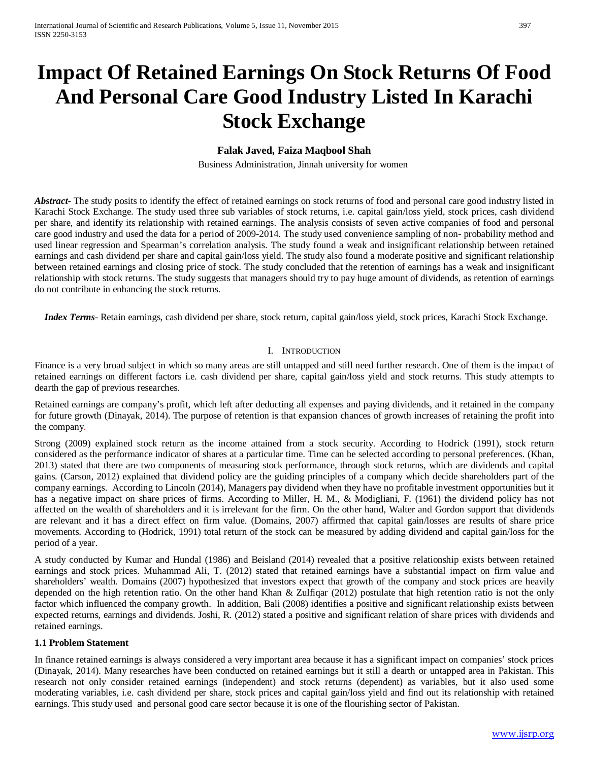# **Impact Of Retained Earnings On Stock Returns Of Food And Personal Care Good Industry Listed In Karachi Stock Exchange**

# **Falak Javed, Faiza Maqbool Shah**

Business Administration, Jinnah university for women

**Abstract** The study posits to identify the effect of retained earnings on stock returns of food and personal care good industry listed in Karachi Stock Exchange. The study used three sub variables of stock returns, i.e. capital gain/loss yield, stock prices, cash dividend per share, and identify its relationship with retained earnings. The analysis consists of seven active companies of food and personal care good industry and used the data for a period of 2009-2014. The study used convenience sampling of non- probability method and used linear regression and Spearman's correlation analysis. The study found a weak and insignificant relationship between retained earnings and cash dividend per share and capital gain/loss yield. The study also found a moderate positive and significant relationship between retained earnings and closing price of stock. The study concluded that the retention of earnings has a weak and insignificant relationship with stock returns. The study suggests that managers should try to pay huge amount of dividends, as retention of earnings do not contribute in enhancing the stock returns.

 *Index Terms*- Retain earnings, cash dividend per share, stock return, capital gain/loss yield, stock prices, Karachi Stock Exchange.

#### I. INTRODUCTION

Finance is a very broad subject in which so many areas are still untapped and still need further research. One of them is the impact of retained earnings on different factors i.e. cash dividend per share, capital gain/loss yield and stock returns. This study attempts to dearth the gap of previous researches.

Retained earnings are company's profit, which left after deducting all expenses and paying dividends, and it retained in the company for future growth (Dinayak, 2014). The purpose of retention is that expansion chances of growth increases of retaining the profit into the company.

Strong (2009) explained stock return as the income attained from a stock security. According to Hodrick (1991), stock return considered as the performance indicator of shares at a particular time. Time can be selected according to personal preferences. (Khan, 2013) stated that there are two components of measuring stock performance, through stock returns, which are dividends and capital gains. (Carson, 2012) explained that dividend policy are the guiding principles of a company which decide shareholders part of the company earnings. According to Lincoln (2014), Managers pay dividend when they have no profitable investment opportunities but it has a negative impact on share prices of firms. According to Miller, H. M., & Modigliani, F. (1961) the dividend policy has not affected on the wealth of shareholders and it is irrelevant for the firm. On the other hand, Walter and Gordon support that dividends are relevant and it has a direct effect on firm value. (Domains, 2007) affirmed that capital gain/losses are results of share price movements. According to (Hodrick, 1991) total return of the stock can be measured by adding dividend and capital gain/loss for the period of a year.

A study conducted by Kumar and Hundal (1986) and Beisland (2014) revealed that a positive relationship exists between retained earnings and stock prices. Muhammad Ali, T. (2012) stated that retained earnings have a substantial impact on firm value and shareholders' wealth. Domains (2007) hypothesized that investors expect that growth of the company and stock prices are heavily depended on the high retention ratio. On the other hand Khan & Zulfiqar (2012) postulate that high retention ratio is not the only factor which influenced the company growth. In addition, Bali (2008) identifies a positive and significant relationship exists between expected returns, earnings and dividends. Joshi, R. (2012) stated a positive and significant relation of share prices with dividends and retained earnings.

#### **1.1 Problem Statement**

In finance retained earnings is always considered a very important area because it has a significant impact on companies' stock prices (Dinayak, 2014). Many researches have been conducted on retained earnings but it still a dearth or untapped area in Pakistan. This research not only consider retained earnings (independent) and stock returns (dependent) as variables, but it also used some moderating variables, i.e. cash dividend per share, stock prices and capital gain/loss yield and find out its relationship with retained earnings. This study used and personal good care sector because it is one of the flourishing sector of Pakistan.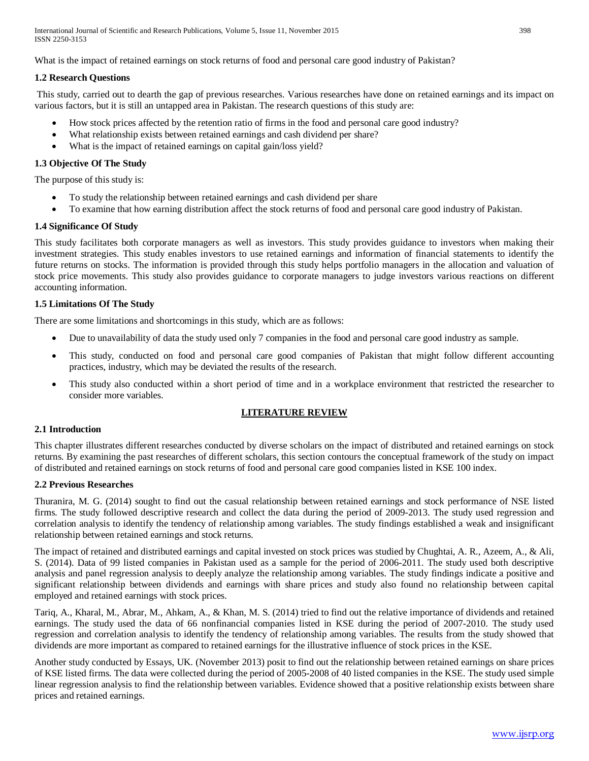What is the impact of retained earnings on stock returns of food and personal care good industry of Pakistan?

## **1.2 Research Questions**

This study, carried out to dearth the gap of previous researches. Various researches have done on retained earnings and its impact on various factors, but it is still an untapped area in Pakistan. The research questions of this study are:

- How stock prices affected by the retention ratio of firms in the food and personal care good industry?
- What relationship exists between retained earnings and cash dividend per share?
- What is the impact of retained earnings on capital gain/loss yield?

# **1.3 Objective Of The Study**

The purpose of this study is:

- To study the relationship between retained earnings and cash dividend per share
- To examine that how earning distribution affect the stock returns of food and personal care good industry of Pakistan.

# **1.4 Significance Of Study**

This study facilitates both corporate managers as well as investors. This study provides guidance to investors when making their investment strategies. This study enables investors to use retained earnings and information of financial statements to identify the future returns on stocks. The information is provided through this study helps portfolio managers in the allocation and valuation of stock price movements. This study also provides guidance to corporate managers to judge investors various reactions on different accounting information.

# **1.5 Limitations Of The Study**

There are some limitations and shortcomings in this study, which are as follows:

- Due to unavailability of data the study used only 7 companies in the food and personal care good industry as sample.
- This study, conducted on food and personal care good companies of Pakistan that might follow different accounting practices, industry, which may be deviated the results of the research.
- This study also conducted within a short period of time and in a workplace environment that restricted the researcher to consider more variables.

# **LITERATURE REVIEW**

#### **2.1 Introduction**

This chapter illustrates different researches conducted by diverse scholars on the impact of distributed and retained earnings on stock returns. By examining the past researches of different scholars, this section contours the conceptual framework of the study on impact of distributed and retained earnings on stock returns of food and personal care good companies listed in KSE 100 index.

#### **2.2 Previous Researches**

Thuranira, M. G. (2014) sought to find out the casual relationship between retained earnings and stock performance of NSE listed firms. The study followed descriptive research and collect the data during the period of 2009-2013. The study used regression and correlation analysis to identify the tendency of relationship among variables. The study findings established a weak and insignificant relationship between retained earnings and stock returns.

The impact of retained and distributed earnings and capital invested on stock prices was studied by Chughtai, A. R., Azeem, A., & Ali, S. (2014). Data of 99 listed companies in Pakistan used as a sample for the period of 2006-2011. The study used both descriptive analysis and panel regression analysis to deeply analyze the relationship among variables. The study findings indicate a positive and significant relationship between dividends and earnings with share prices and study also found no relationship between capital employed and retained earnings with stock prices.

Tariq, A., Kharal, M., Abrar, M., Ahkam, A., & Khan, M. S. (2014) tried to find out the relative importance of dividends and retained earnings. The study used the data of 66 nonfinancial companies listed in KSE during the period of 2007-2010. The study used regression and correlation analysis to identify the tendency of relationship among variables. The results from the study showed that dividends are more important as compared to retained earnings for the illustrative influence of stock prices in the KSE.

Another study conducted by Essays, UK. (November 2013) posit to find out the relationship between retained earnings on share prices of KSE listed firms. The data were collected during the period of 2005-2008 of 40 listed companies in the KSE. The study used simple linear regression analysis to find the relationship between variables. Evidence showed that a positive relationship exists between share prices and retained earnings.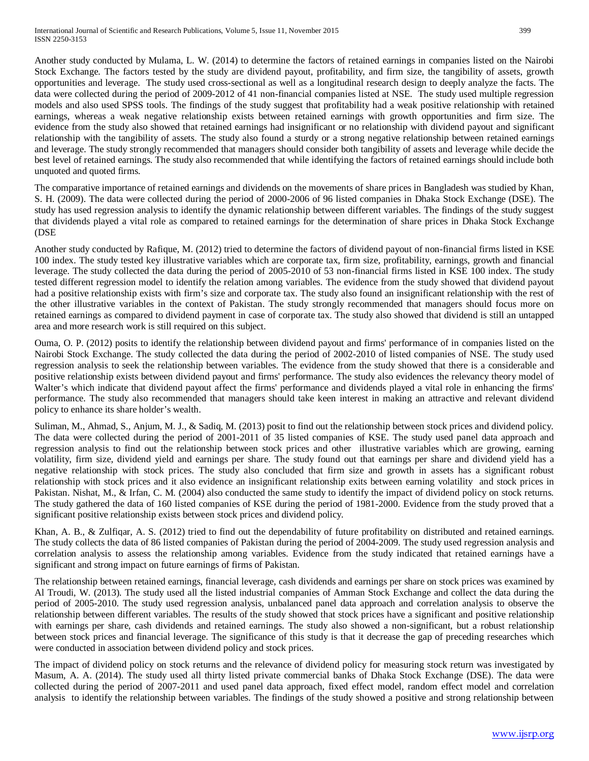Another study conducted by Mulama, L. W. (2014) to determine the factors of retained earnings in companies listed on the Nairobi Stock Exchange. The factors tested by the study are dividend payout, profitability, and firm size, the tangibility of assets, growth opportunities and leverage. The study used cross-sectional as well as a longitudinal research design to deeply analyze the facts. The data were collected during the period of 2009-2012 of 41 non-financial companies listed at NSE. The study used multiple regression models and also used SPSS tools. The findings of the study suggest that profitability had a weak positive relationship with retained earnings, whereas a weak negative relationship exists between retained earnings with growth opportunities and firm size. The evidence from the study also showed that retained earnings had insignificant or no relationship with dividend payout and significant relationship with the tangibility of assets. The study also found a sturdy or a strong negative relationship between retained earnings and leverage. The study strongly recommended that managers should consider both tangibility of assets and leverage while decide the best level of retained earnings. The study also recommended that while identifying the factors of retained earnings should include both unquoted and quoted firms.

The comparative importance of retained earnings and dividends on the movements of share prices in Bangladesh was studied by Khan, S. H. (2009). The data were collected during the period of 2000-2006 of 96 listed companies in Dhaka Stock Exchange (DSE). The study has used regression analysis to identify the dynamic relationship between different variables. The findings of the study suggest that dividends played a vital role as compared to retained earnings for the determination of share prices in Dhaka Stock Exchange (DSE

Another study conducted by Rafique, M. (2012) tried to determine the factors of dividend payout of non-financial firms listed in KSE 100 index. The study tested key illustrative variables which are corporate tax, firm size, profitability, earnings, growth and financial leverage. The study collected the data during the period of 2005-2010 of 53 non-financial firms listed in KSE 100 index. The study tested different regression model to identify the relation among variables. The evidence from the study showed that dividend payout had a positive relationship exists with firm's size and corporate tax. The study also found an insignificant relationship with the rest of the other illustrative variables in the context of Pakistan. The study strongly recommended that managers should focus more on retained earnings as compared to dividend payment in case of corporate tax. The study also showed that dividend is still an untapped area and more research work is still required on this subject.

Ouma, O. P. (2012) posits to identify the relationship between dividend payout and firms' performance of in companies listed on the Nairobi Stock Exchange. The study collected the data during the period of 2002-2010 of listed companies of NSE. The study used regression analysis to seek the relationship between variables. The evidence from the study showed that there is a considerable and positive relationship exists between dividend payout and firms' performance. The study also evidences the relevancy theory model of Walter's which indicate that dividend payout affect the firms' performance and dividends played a vital role in enhancing the firms' performance. The study also recommended that managers should take keen interest in making an attractive and relevant dividend policy to enhance its share holder's wealth.

Suliman, M., Ahmad, S., Anjum, M. J., & Sadiq, M. (2013) posit to find out the relationship between stock prices and dividend policy. The data were collected during the period of 2001-2011 of 35 listed companies of KSE. The study used panel data approach and regression analysis to find out the relationship between stock prices and other illustrative variables which are growing, earning volatility, firm size, dividend yield and earnings per share. The study found out that earnings per share and dividend yield has a negative relationship with stock prices. The study also concluded that firm size and growth in assets has a significant robust relationship with stock prices and it also evidence an insignificant relationship exits between earning volatility and stock prices in Pakistan. Nishat, M., & Irfan, C. M. (2004) also conducted the same study to identify the impact of dividend policy on stock returns. The study gathered the data of 160 listed companies of KSE during the period of 1981-2000. Evidence from the study proved that a significant positive relationship exists between stock prices and dividend policy.

Khan, A. B., & Zulfiqar, A. S. (2012) tried to find out the dependability of future profitability on distributed and retained earnings. The study collects the data of 86 listed companies of Pakistan during the period of 2004-2009. The study used regression analysis and correlation analysis to assess the relationship among variables. Evidence from the study indicated that retained earnings have a significant and strong impact on future earnings of firms of Pakistan.

The relationship between retained earnings, financial leverage, cash dividends and earnings per share on stock prices was examined by Al Troudi, W. (2013). The study used all the listed industrial companies of Amman Stock Exchange and collect the data during the period of 2005-2010. The study used regression analysis, unbalanced panel data approach and correlation analysis to observe the relationship between different variables. The results of the study showed that stock prices have a significant and positive relationship with earnings per share, cash dividends and retained earnings. The study also showed a non-significant, but a robust relationship between stock prices and financial leverage. The significance of this study is that it decrease the gap of preceding researches which were conducted in association between dividend policy and stock prices.

The impact of dividend policy on stock returns and the relevance of dividend policy for measuring stock return was investigated by Masum, A. A. (2014). The study used all thirty listed private commercial banks of Dhaka Stock Exchange (DSE). The data were collected during the period of 2007-2011 and used panel data approach, fixed effect model, random effect model and correlation analysis to identify the relationship between variables. The findings of the study showed a positive and strong relationship between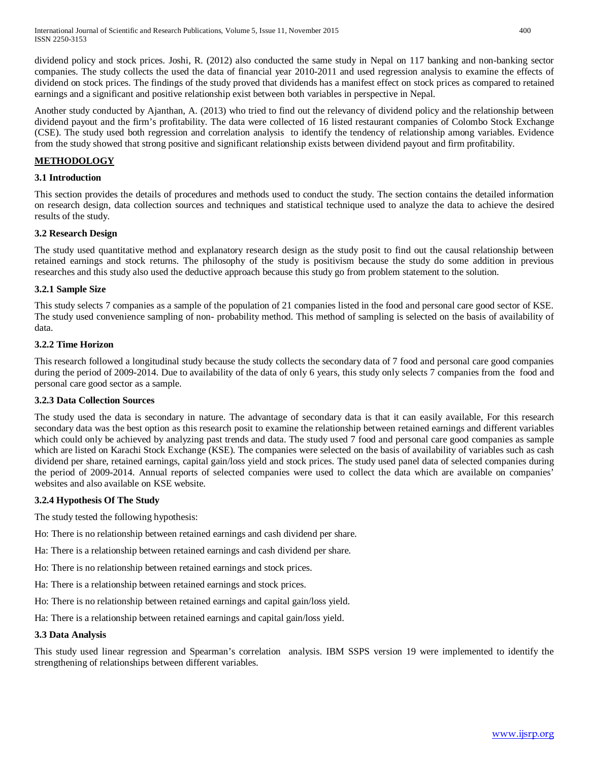dividend policy and stock prices. Joshi, R. (2012) also conducted the same study in Nepal on 117 banking and non-banking sector companies. The study collects the used the data of financial year 2010-2011 and used regression analysis to examine the effects of dividend on stock prices. The findings of the study proved that dividends has a manifest effect on stock prices as compared to retained earnings and a significant and positive relationship exist between both variables in perspective in Nepal.

Another study conducted by Ajanthan, A. (2013) who tried to find out the relevancy of dividend policy and the relationship between dividend payout and the firm's profitability. The data were collected of 16 listed restaurant companies of Colombo Stock Exchange (CSE). The study used both regression and correlation analysis to identify the tendency of relationship among variables. Evidence from the study showed that strong positive and significant relationship exists between dividend payout and firm profitability.

# **METHODOLOGY**

# **3.1 Introduction**

This section provides the details of procedures and methods used to conduct the study. The section contains the detailed information on research design, data collection sources and techniques and statistical technique used to analyze the data to achieve the desired results of the study.

# **3.2 Research Design**

The study used quantitative method and explanatory research design as the study posit to find out the causal relationship between retained earnings and stock returns. The philosophy of the study is positivism because the study do some addition in previous researches and this study also used the deductive approach because this study go from problem statement to the solution.

# **3.2.1 Sample Size**

This study selects 7 companies as a sample of the population of 21 companies listed in the food and personal care good sector of KSE. The study used convenience sampling of non- probability method. This method of sampling is selected on the basis of availability of data.

# **3.2.2 Time Horizon**

This research followed a longitudinal study because the study collects the secondary data of 7 food and personal care good companies during the period of 2009-2014. Due to availability of the data of only 6 years, this study only selects 7 companies from the food and personal care good sector as a sample.

#### **3.2.3 Data Collection Sources**

The study used the data is secondary in nature. The advantage of secondary data is that it can easily available, For this research secondary data was the best option as this research posit to examine the relationship between retained earnings and different variables which could only be achieved by analyzing past trends and data. The study used 7 food and personal care good companies as sample which are listed on Karachi Stock Exchange (KSE). The companies were selected on the basis of availability of variables such as cash dividend per share, retained earnings, capital gain/loss yield and stock prices. The study used panel data of selected companies during the period of 2009-2014. Annual reports of selected companies were used to collect the data which are available on companies' websites and also available on KSE website.

# **3.2.4 Hypothesis Of The Study**

The study tested the following hypothesis:

- Ho: There is no relationship between retained earnings and cash dividend per share.
- Ha: There is a relationship between retained earnings and cash dividend per share.
- Ho: There is no relationship between retained earnings and stock prices.
- Ha: There is a relationship between retained earnings and stock prices.
- Ho: There is no relationship between retained earnings and capital gain/loss yield.
- Ha: There is a relationship between retained earnings and capital gain/loss yield.

#### **3.3 Data Analysis**

This study used linear regression and Spearman's correlation analysis. IBM SSPS version 19 were implemented to identify the strengthening of relationships between different variables.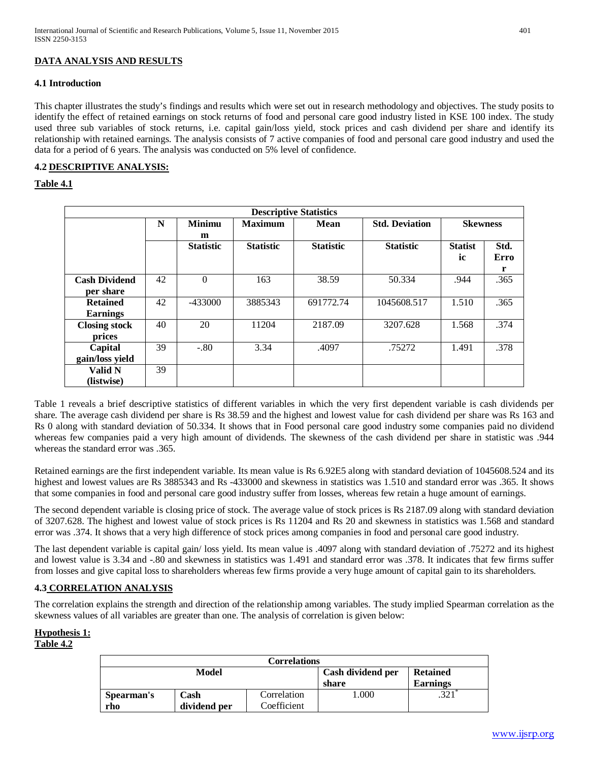# **DATA ANALYSIS AND RESULTS**

#### **4.1 Introduction**

This chapter illustrates the study's findings and results which were set out in research methodology and objectives. The study posits to identify the effect of retained earnings on stock returns of food and personal care good industry listed in KSE 100 index. The study used three sub variables of stock returns, i.e. capital gain/loss yield, stock prices and cash dividend per share and identify its relationship with retained earnings. The analysis consists of 7 active companies of food and personal care good industry and used the data for a period of 6 years. The analysis was conducted on 5% level of confidence.

#### **4.2 DESCRIPTIVE ANALYSIS:**

#### **Table 4.1**

| <b>Descriptive Statistics</b> |    |                  |                  |                  |                       |                 |      |  |
|-------------------------------|----|------------------|------------------|------------------|-----------------------|-----------------|------|--|
|                               | N  | <b>Minimu</b>    | <b>Maximum</b>   | Mean             | <b>Std. Deviation</b> | <b>Skewness</b> |      |  |
|                               |    | m                |                  |                  |                       |                 |      |  |
|                               |    | <b>Statistic</b> | <b>Statistic</b> | <b>Statistic</b> | <b>Statistic</b>      | <b>Statist</b>  | Std. |  |
|                               |    |                  |                  |                  |                       | ic              | Erro |  |
|                               |    |                  |                  |                  |                       |                 | r    |  |
| <b>Cash Dividend</b>          | 42 | $\Omega$         | 163              | 38.59            | 50.334                | .944            | .365 |  |
| per share                     |    |                  |                  |                  |                       |                 |      |  |
| <b>Retained</b>               | 42 | $-433000$        | 3885343          | 691772.74        | 1045608.517           | 1.510           | .365 |  |
| <b>Earnings</b>               |    |                  |                  |                  |                       |                 |      |  |
| <b>Closing stock</b>          | 40 | 20               | 11204            | 2187.09          | 3207.628              | 1.568           | .374 |  |
| prices                        |    |                  |                  |                  |                       |                 |      |  |
| Capital                       | 39 | $-.80$           | 3.34             | .4097            | .75272                | 1.491           | .378 |  |
| gain/loss yield               |    |                  |                  |                  |                       |                 |      |  |
| Valid N                       | 39 |                  |                  |                  |                       |                 |      |  |
| (listwise)                    |    |                  |                  |                  |                       |                 |      |  |

Table 1 reveals a brief descriptive statistics of different variables in which the very first dependent variable is cash dividends per share. The average cash dividend per share is Rs 38.59 and the highest and lowest value for cash dividend per share was Rs 163 and Rs 0 along with standard deviation of 50.334. It shows that in Food personal care good industry some companies paid no dividend whereas few companies paid a very high amount of dividends. The skewness of the cash dividend per share in statistic was .944 whereas the standard error was .365.

Retained earnings are the first independent variable. Its mean value is Rs 6.92E5 along with standard deviation of 1045608.524 and its highest and lowest values are Rs 3885343 and Rs -433000 and skewness in statistics was 1.510 and standard error was .365. It shows that some companies in food and personal care good industry suffer from losses, whereas few retain a huge amount of earnings.

The second dependent variable is closing price of stock. The average value of stock prices is Rs 2187.09 along with standard deviation of 3207.628. The highest and lowest value of stock prices is Rs 11204 and Rs 20 and skewness in statistics was 1.568 and standard error was .374. It shows that a very high difference of stock prices among companies in food and personal care good industry.

The last dependent variable is capital gain/ loss yield. Its mean value is .4097 along with standard deviation of .75272 and its highest and lowest value is 3.34 and -.80 and skewness in statistics was 1.491 and standard error was .378. It indicates that few firms suffer from losses and give capital loss to shareholders whereas few firms provide a very huge amount of capital gain to its shareholders.

#### **4.3 CORRELATION ANALYSIS**

The correlation explains the strength and direction of the relationship among variables. The study implied Spearman correlation as the skewness values of all variables are greater than one. The analysis of correlation is given below:

#### **Hypothesis 1:**

# **Table 4.2**

| <b>Correlations</b> |              |             |                            |                                    |  |  |  |
|---------------------|--------------|-------------|----------------------------|------------------------------------|--|--|--|
|                     | Model        |             | Cash dividend per<br>share | <b>Retained</b><br><b>Earnings</b> |  |  |  |
|                     |              |             |                            |                                    |  |  |  |
| Spearman's          | Cash         | Correlation | .000                       |                                    |  |  |  |
| rho                 | dividend per | Coefficient |                            |                                    |  |  |  |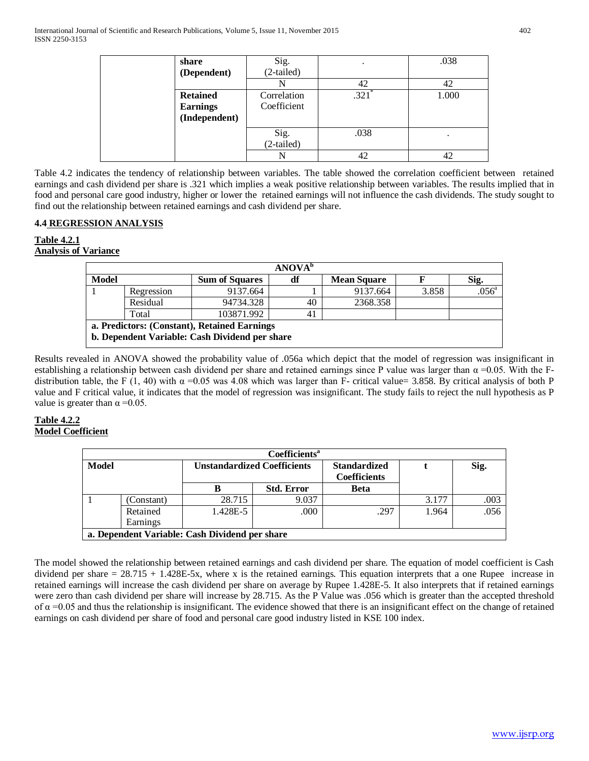| share           | Sig.         |       | .038  |
|-----------------|--------------|-------|-------|
| (Dependent)     | (2-tailed)   |       |       |
|                 |              | 42    | 42    |
| <b>Retained</b> | Correlation  | .321' | 1.000 |
| <b>Earnings</b> | Coefficient  |       |       |
| (Independent)   |              |       |       |
|                 | Sig.         | .038  |       |
|                 | $(2-tailed)$ |       |       |
|                 |              | 42    | 42    |

Table 4.2 indicates the tendency of relationship between variables. The table showed the correlation coefficient between retained earnings and cash dividend per share is .321 which implies a weak positive relationship between variables. The results implied that in food and personal care good industry, higher or lower the retained earnings will not influence the cash dividends. The study sought to find out the relationship between retained earnings and cash dividend per share.

# **4.4 REGRESSION ANALYSIS**

#### **Table 4.2.1 Analysis of Variance**

|              | <b>ANOVA</b> <sup>b</sup>                    |                                                |    |                    |       |                |  |  |  |
|--------------|----------------------------------------------|------------------------------------------------|----|--------------------|-------|----------------|--|--|--|
| <b>Model</b> |                                              | <b>Sum of Squares</b>                          | df | <b>Mean Square</b> |       | Sig.           |  |  |  |
|              | Regression                                   | 9137.664                                       |    | 9137.664           | 3.858 | $.056^{\circ}$ |  |  |  |
|              | Residual                                     | 94734.328                                      | 40 | 2368.358           |       |                |  |  |  |
|              | Total                                        | 103871.992                                     | 41 |                    |       |                |  |  |  |
|              | a. Predictors: (Constant), Retained Earnings |                                                |    |                    |       |                |  |  |  |
|              |                                              | b. Dependent Variable: Cash Dividend per share |    |                    |       |                |  |  |  |

Results revealed in ANOVA showed the probability value of .056a which depict that the model of regression was insignificant in establishing a relationship between cash dividend per share and retained earnings since P value was larger than  $\alpha$  =0.05. With the Fdistribution table, the F (1, 40) with  $\alpha$  =0.05 was 4.08 which was larger than F- critical value= 3.858. By critical analysis of both P value and F critical value, it indicates that the model of regression was insignificant. The study fails to reject the null hypothesis as P value is greater than  $\alpha = 0.05$ .

#### **Table 4.2.2 Model Coefficient**

|       | <b>Coefficients<sup>a</sup></b>                |                                    |                   |                                            |       |      |  |  |  |
|-------|------------------------------------------------|------------------------------------|-------------------|--------------------------------------------|-------|------|--|--|--|
| Model |                                                | <b>Unstandardized Coefficients</b> |                   | <b>Standardized</b><br><b>Coefficients</b> |       | Sig. |  |  |  |
|       |                                                | в                                  | <b>Std. Error</b> | <b>Beta</b>                                |       |      |  |  |  |
|       | (Constant)                                     | 28.715                             | 9.037             |                                            | 3.177 | .003 |  |  |  |
|       | Retained                                       | 1.428E-5                           | .000              | .297                                       | 1.964 | .056 |  |  |  |
|       | Earnings                                       |                                    |                   |                                            |       |      |  |  |  |
|       | a. Dependent Variable: Cash Dividend per share |                                    |                   |                                            |       |      |  |  |  |

The model showed the relationship between retained earnings and cash dividend per share. The equation of model coefficient is Cash dividend per share = 28.715 + 1.428E-5x, where x is the retained earnings. This equation interprets that a one Rupee increase in retained earnings will increase the cash dividend per share on average by Rupee 1.428E-5. It also interprets that if retained earnings were zero than cash dividend per share will increase by 28.715. As the P Value was .056 which is greater than the accepted threshold of  $\alpha$  =0.05 and thus the relationship is insignificant. The evidence showed that there is an insignificant effect on the change of retained earnings on cash dividend per share of food and personal care good industry listed in KSE 100 index.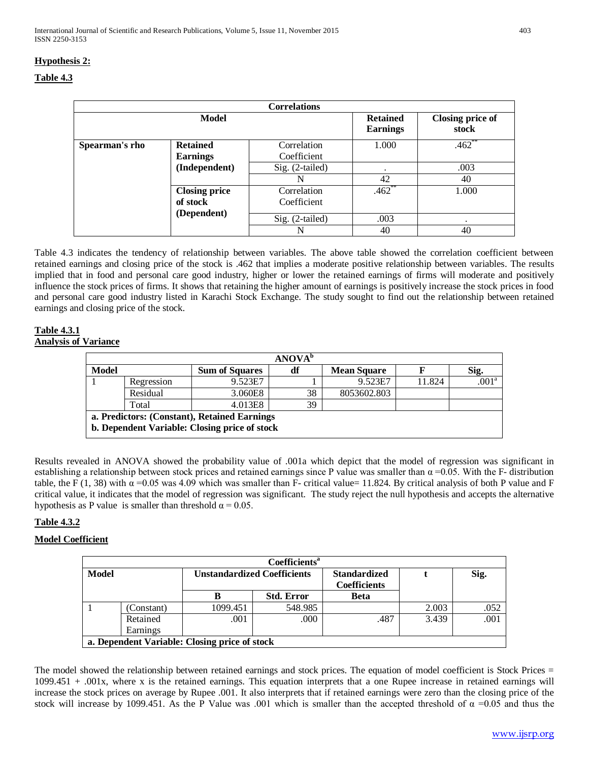|                |                                    | <b>Correlations</b>        |                                    |                                  |
|----------------|------------------------------------|----------------------------|------------------------------------|----------------------------------|
|                | Model                              |                            | <b>Retained</b><br><b>Earnings</b> | <b>Closing price of</b><br>stock |
| Spearman's rho | <b>Retained</b><br><b>Earnings</b> | Correlation<br>Coefficient | 1.000                              | $.462$ **                        |
|                | (Independent)                      | $Sig. (2-tailed)$          |                                    | .003                             |
|                |                                    | N                          | 42                                 | 40                               |
|                | <b>Closing price</b><br>of stock   | Correlation<br>Coefficient | $.462$ **                          | 1.000                            |
|                | (Dependent)                        | Sig. (2-tailed)            | .003                               |                                  |
|                |                                    | N                          | 40                                 | 40                               |

Table 4.3 indicates the tendency of relationship between variables. The above table showed the correlation coefficient between retained earnings and closing price of the stock is .462 that implies a moderate positive relationship between variables. The results implied that in food and personal care good industry, higher or lower the retained earnings of firms will moderate and positively influence the stock prices of firms. It shows that retaining the higher amount of earnings is positively increase the stock prices in food and personal care good industry listed in Karachi Stock Exchange. The study sought to find out the relationship between retained earnings and closing price of the stock.

# **Table 4.3.1 Analysis of Variance**

| <b>ANOVA</b> <sup>b</sup> |                                              |                                               |    |                    |        |                     |  |  |
|---------------------------|----------------------------------------------|-----------------------------------------------|----|--------------------|--------|---------------------|--|--|
| <b>Model</b>              |                                              | <b>Sum of Squares</b>                         | df | <b>Mean Square</b> |        | Sig.                |  |  |
|                           | Regression                                   | 9.523E7                                       |    | 9.523E7            | 11.824 | $.001^{\mathrm{a}}$ |  |  |
|                           | Residual                                     | 3.060E8                                       | 38 | 8053602.803        |        |                     |  |  |
|                           | Total                                        | 4.013E8                                       | 39 |                    |        |                     |  |  |
|                           | a. Predictors: (Constant), Retained Earnings |                                               |    |                    |        |                     |  |  |
|                           |                                              | b. Dependent Variable: Closing price of stock |    |                    |        |                     |  |  |
|                           |                                              |                                               |    |                    |        |                     |  |  |

Results revealed in ANOVA showed the probability value of .001a which depict that the model of regression was significant in establishing a relationship between stock prices and retained earnings since P value was smaller than  $\alpha$  =0.05. With the F- distribution table, the F (1, 38) with  $\alpha$  =0.05 was 4.09 which was smaller than F- critical value= 11.824. By critical analysis of both P value and F critical value, it indicates that the model of regression was significant. The study reject the null hypothesis and accepts the alternative hypothesis as P value is smaller than threshold  $\alpha = 0.05$ .

# **Table 4.3.2**

# **Model Coefficient**

|       | Coefficients <sup>a</sup>                     |                                    |                   |                     |       |      |  |  |  |
|-------|-----------------------------------------------|------------------------------------|-------------------|---------------------|-------|------|--|--|--|
| Model |                                               | <b>Unstandardized Coefficients</b> |                   | <b>Standardized</b> |       | Sig. |  |  |  |
|       |                                               |                                    |                   | <b>Coefficients</b> |       |      |  |  |  |
|       |                                               | В                                  | <b>Std. Error</b> | <b>Beta</b>         |       |      |  |  |  |
|       | (Constant)                                    | 1099.451                           | 548.985           |                     | 2.003 | .052 |  |  |  |
|       | Retained                                      | .001                               | .000              | .487                | 3.439 | .001 |  |  |  |
|       | Earnings                                      |                                    |                   |                     |       |      |  |  |  |
|       | a. Dependent Variable: Closing price of stock |                                    |                   |                     |       |      |  |  |  |

The model showed the relationship between retained earnings and stock prices. The equation of model coefficient is Stock Prices = 1099.451 + .001x, where x is the retained earnings. This equation interprets that a one Rupee increase in retained earnings will increase the stock prices on average by Rupee .001. It also interprets that if retained earnings were zero than the closing price of the stock will increase by 1099.451. As the P Value was .001 which is smaller than the accepted threshold of  $\alpha = 0.05$  and thus the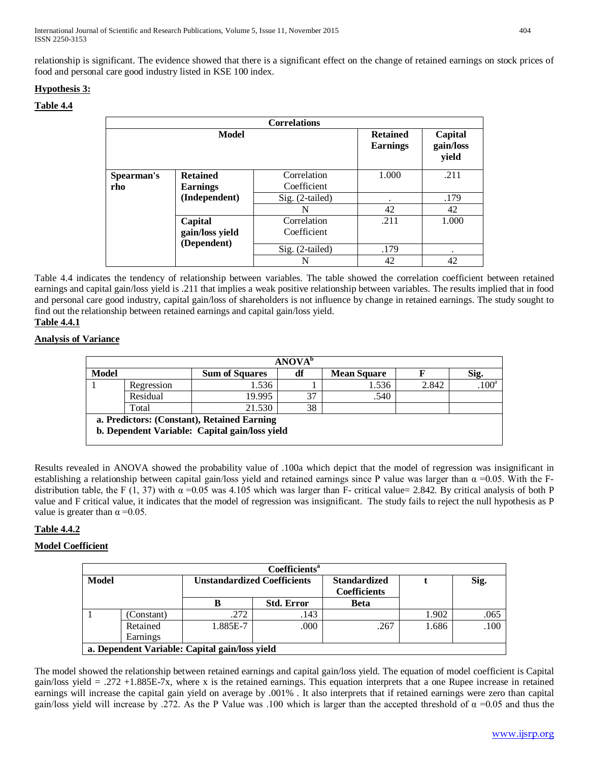relationship is significant. The evidence showed that there is a significant effect on the change of retained earnings on stock prices of food and personal care good industry listed in KSE 100 index.

# **Hypothesis 3:**

# **Table 4.4**

|            |                 | <b>Correlations</b> |                                    |                               |
|------------|-----------------|---------------------|------------------------------------|-------------------------------|
|            | Model           |                     | <b>Retained</b><br><b>Earnings</b> | Capital<br>gain/loss<br>yield |
| Spearman's | <b>Retained</b> | Correlation         | 1.000                              | .211                          |
| rho        | <b>Earnings</b> | Coefficient         |                                    |                               |
|            | (Independent)   | Sig. (2-tailed)     | ٠                                  | .179                          |
|            |                 | N                   | 42                                 | 42                            |
|            | Capital         | Correlation         | .211                               | 1.000                         |
|            | gain/loss yield | Coefficient         |                                    |                               |
|            | (Dependent)     | Sig. (2-tailed)     | .179                               | ٠                             |
|            |                 | N                   | 42                                 | 42                            |

Table 4.4 indicates the tendency of relationship between variables. The table showed the correlation coefficient between retained earnings and capital gain/loss yield is .211 that implies a weak positive relationship between variables. The results implied that in food and personal care good industry, capital gain/loss of shareholders is not influence by change in retained earnings. The study sought to find out the relationship between retained earnings and capital gain/loss yield.

# **Table 4.4.1**

# **Analysis of Variance**

|              | <b>ANOVA</b> <sup>b</sup>                                                                     |                       |    |                    |       |                   |  |  |  |
|--------------|-----------------------------------------------------------------------------------------------|-----------------------|----|--------------------|-------|-------------------|--|--|--|
| <b>Model</b> |                                                                                               | <b>Sum of Squares</b> | df | <b>Mean Square</b> |       | Sig.              |  |  |  |
|              | Regression                                                                                    | 1.536                 |    | 1.536              | 2.842 | .100 <sup>a</sup> |  |  |  |
|              | Residual                                                                                      | 19.995                | 37 | .540               |       |                   |  |  |  |
|              | Total                                                                                         | 21.530                | 38 |                    |       |                   |  |  |  |
|              | a. Predictors: (Constant), Retained Earning<br>b. Dependent Variable: Capital gain/loss yield |                       |    |                    |       |                   |  |  |  |

Results revealed in ANOVA showed the probability value of .100a which depict that the model of regression was insignificant in establishing a relationship between capital gain/loss yield and retained earnings since P value was larger than  $\alpha$  =0.05. With the Fdistribution table, the F (1, 37) with  $\alpha$  =0.05 was 4.105 which was larger than F- critical value= 2.842. By critical analysis of both P value and F critical value, it indicates that the model of regression was insignificant. The study fails to reject the null hypothesis as P value is greater than  $\alpha = 0.05$ .

# **Table 4.4.2**

#### **Model Coefficient**

|       | Coefficients <sup>a</sup> |                                                |                   |                     |       |      |  |  |  |
|-------|---------------------------|------------------------------------------------|-------------------|---------------------|-------|------|--|--|--|
| Model |                           | <b>Unstandardized Coefficients</b>             |                   | <b>Standardized</b> |       | Sig. |  |  |  |
|       |                           |                                                |                   | <b>Coefficients</b> |       |      |  |  |  |
|       |                           | в                                              | <b>Std. Error</b> | Beta                |       |      |  |  |  |
|       | (Constant)                | .272                                           | .143              |                     | 1.902 | .065 |  |  |  |
|       | Retained                  | 1.885E-7                                       | .000              | .267                | 1.686 | .100 |  |  |  |
|       | Earnings                  |                                                |                   |                     |       |      |  |  |  |
|       |                           | a. Dependent Variable: Capital gain/loss yield |                   |                     |       |      |  |  |  |

The model showed the relationship between retained earnings and capital gain/loss yield. The equation of model coefficient is Capital gain/loss yield = .272 +1.885E-7x, where x is the retained earnings. This equation interprets that a one Rupee increase in retained earnings will increase the capital gain yield on average by .001% . It also interprets that if retained earnings were zero than capital gain/loss yield will increase by .272. As the P Value was .100 which is larger than the accepted threshold of  $\alpha$  =0.05 and thus the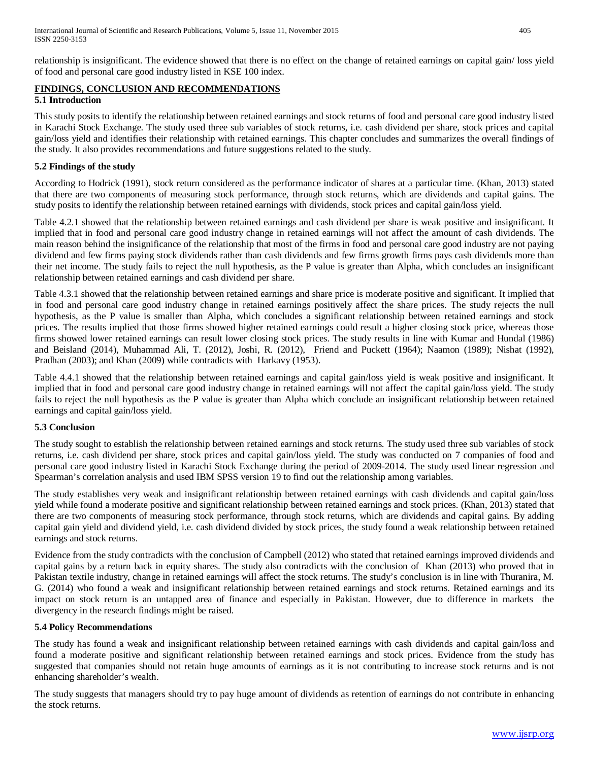relationship is insignificant. The evidence showed that there is no effect on the change of retained earnings on capital gain/ loss yield of food and personal care good industry listed in KSE 100 index.

# **FINDINGS, CONCLUSION AND RECOMMENDATIONS 5.1 Introduction**

This study posits to identify the relationship between retained earnings and stock returns of food and personal care good industry listed in Karachi Stock Exchange. The study used three sub variables of stock returns, i.e. cash dividend per share, stock prices and capital gain/loss yield and identifies their relationship with retained earnings. This chapter concludes and summarizes the overall findings of the study. It also provides recommendations and future suggestions related to the study.

# **5.2 Findings of the study**

According to Hodrick (1991), stock return considered as the performance indicator of shares at a particular time. (Khan, 2013) stated that there are two components of measuring stock performance, through stock returns, which are dividends and capital gains. The study posits to identify the relationship between retained earnings with dividends, stock prices and capital gain/loss yield.

Table 4.2.1 showed that the relationship between retained earnings and cash dividend per share is weak positive and insignificant. It implied that in food and personal care good industry change in retained earnings will not affect the amount of cash dividends. The main reason behind the insignificance of the relationship that most of the firms in food and personal care good industry are not paying dividend and few firms paying stock dividends rather than cash dividends and few firms growth firms pays cash dividends more than their net income. The study fails to reject the null hypothesis, as the P value is greater than Alpha, which concludes an insignificant relationship between retained earnings and cash dividend per share.

Table 4.3.1 showed that the relationship between retained earnings and share price is moderate positive and significant. It implied that in food and personal care good industry change in retained earnings positively affect the share prices. The study rejects the null hypothesis, as the P value is smaller than Alpha, which concludes a significant relationship between retained earnings and stock prices. The results implied that those firms showed higher retained earnings could result a higher closing stock price, whereas those firms showed lower retained earnings can result lower closing stock prices. The study results in line with Kumar and Hundal (1986) and Beisland (2014), Muhammad Ali, T. (2012), Joshi, R. (2012), Friend and Puckett (1964); Naamon (1989); Nishat (1992), Pradhan (2003); and Khan (2009) while contradicts with Harkavy (1953).

Table 4.4.1 showed that the relationship between retained earnings and capital gain/loss yield is weak positive and insignificant. It implied that in food and personal care good industry change in retained earnings will not affect the capital gain/loss yield. The study fails to reject the null hypothesis as the P value is greater than Alpha which conclude an insignificant relationship between retained earnings and capital gain/loss yield.

#### **5.3 Conclusion**

The study sought to establish the relationship between retained earnings and stock returns. The study used three sub variables of stock returns, i.e. cash dividend per share, stock prices and capital gain/loss yield. The study was conducted on 7 companies of food and personal care good industry listed in Karachi Stock Exchange during the period of 2009-2014. The study used linear regression and Spearman's correlation analysis and used IBM SPSS version 19 to find out the relationship among variables.

The study establishes very weak and insignificant relationship between retained earnings with cash dividends and capital gain/loss yield while found a moderate positive and significant relationship between retained earnings and stock prices. (Khan, 2013) stated that there are two components of measuring stock performance, through stock returns, which are dividends and capital gains. By adding capital gain yield and dividend yield, i.e. cash dividend divided by stock prices, the study found a weak relationship between retained earnings and stock returns.

Evidence from the study contradicts with the conclusion of Campbell (2012) who stated that retained earnings improved dividends and capital gains by a return back in equity shares. The study also contradicts with the conclusion of Khan (2013) who proved that in Pakistan textile industry, change in retained earnings will affect the stock returns. The study's conclusion is in line with Thuranira, M. G. (2014) who found a weak and insignificant relationship between retained earnings and stock returns. Retained earnings and its impact on stock return is an untapped area of finance and especially in Pakistan. However, due to difference in markets the divergency in the research findings might be raised.

#### **5.4 Policy Recommendations**

The study has found a weak and insignificant relationship between retained earnings with cash dividends and capital gain/loss and found a moderate positive and significant relationship between retained earnings and stock prices. Evidence from the study has suggested that companies should not retain huge amounts of earnings as it is not contributing to increase stock returns and is not enhancing shareholder's wealth.

The study suggests that managers should try to pay huge amount of dividends as retention of earnings do not contribute in enhancing the stock returns.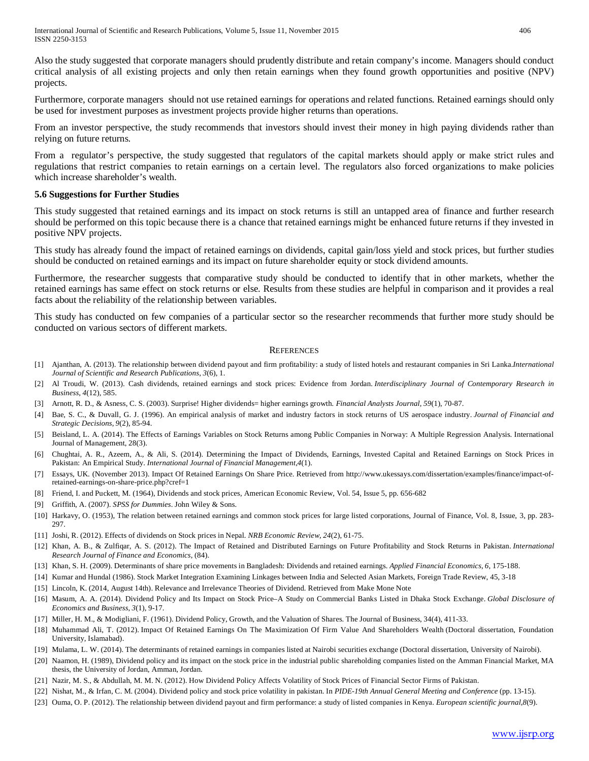Also the study suggested that corporate managers should prudently distribute and retain company's income. Managers should conduct critical analysis of all existing projects and only then retain earnings when they found growth opportunities and positive (NPV) projects.

Furthermore, corporate managers should not use retained earnings for operations and related functions. Retained earnings should only be used for investment purposes as investment projects provide higher returns than operations.

From an investor perspective, the study recommends that investors should invest their money in high paying dividends rather than relying on future returns.

From a regulator's perspective, the study suggested that regulators of the capital markets should apply or make strict rules and regulations that restrict companies to retain earnings on a certain level. The regulators also forced organizations to make policies which increase shareholder's wealth.

#### **5.6 Suggestions for Further Studies**

This study suggested that retained earnings and its impact on stock returns is still an untapped area of finance and further research should be performed on this topic because there is a chance that retained earnings might be enhanced future returns if they invested in positive NPV projects.

This study has already found the impact of retained earnings on dividends, capital gain/loss yield and stock prices, but further studies should be conducted on retained earnings and its impact on future shareholder equity or stock dividend amounts.

Furthermore, the researcher suggests that comparative study should be conducted to identify that in other markets, whether the retained earnings has same effect on stock returns or else. Results from these studies are helpful in comparison and it provides a real facts about the reliability of the relationship between variables.

This study has conducted on few companies of a particular sector so the researcher recommends that further more study should be conducted on various sectors of different markets.

#### **REFERENCES**

- [1] Ajanthan, A. (2013). The relationship between dividend payout and firm profitability: a study of listed hotels and restaurant companies in Sri Lanka.*International Journal of Scientific and Research Publications*, *3*(6), 1.
- [2] Al Troudi, W. (2013). Cash dividends, retained earnings and stock prices: Evidence from Jordan. *Interdisciplinary Journal of Contemporary Research in Business*, *4*(12), 585.
- [3] Arnott, R. D., & Asness, C. S. (2003). Surprise! Higher dividends= higher earnings growth. *Financial Analysts Journal*, *59*(1), 70-87.
- [4] Bae, S. C., & Duvall, G. J. (1996). An empirical analysis of market and industry factors in stock returns of US aerospace industry. *Journal of Financial and Strategic Decisions*, *9*(2), 85-94.
- [5] Beisland, L. A. (2014). The Effects of Earnings Variables on Stock Returns among Public Companies in Norway: A Multiple Regression Analysis. International Journal of Management, 28(3).
- [6] Chughtai, A. R., Azeem, A., & Ali, S. (2014). Determining the Impact of Dividends, Earnings, Invested Capital and Retained Earnings on Stock Prices in Pakistan: An Empirical Study. *International Journal of Financial Management*,*4*(1).
- [7] Essays, UK. (November 2013). Impact Of Retained Earnings On Share Price. Retrieved from http://www.ukessays.com/dissertation/examples/finance/impact-ofretained-earnings-on-share-price.php?cref=1
- [8] Friend, I. and Puckett, M. (1964), Dividends and stock prices, American Economic Review, Vol. 54, Issue 5, pp. 656-682
- [9] Griffith, A. (2007). *SPSS for Dummies*. John Wiley & Sons.
- [10] Harkavy, O. (1953), The relation between retained earnings and common stock prices for large listed corporations, Journal of Finance, Vol. 8, Issue, 3, pp. 283-297.
- [11] Joshi, R. (2012). Effects of dividends on Stock prices in Nepal. *NRB Economic Review*, *24*(2), 61-75.
- [12] Khan, A. B., & Zulfiqar, A. S. (2012). The Impact of Retained and Distributed Earnings on Future Profitability and Stock Returns in Pakistan. *International Research Journal of Finance and Economics*, (84).
- [13] Khan, S. H. (2009). Determinants of share price movements in Bangladesh: Dividends and retained earnings. *Applied Financial Economics*, *6*, 175-188.
- [14] Kumar and Hundal (1986). Stock Market Integration Examining Linkages between India and Selected Asian Markets, Foreign Trade Review, 45, 3-18
- [15] Lincoln, K. (2014, August 14th). Relevance and Irrelevance Theories of Dividend. Retrieved from Make Mone Note
- [16] Masum, A. A. (2014). Dividend Policy and Its Impact on Stock Price–A Study on Commercial Banks Listed in Dhaka Stock Exchange. *Global Disclosure of Economics and Business*, *3*(1), 9-17.
- [17] Miller, H. M., & Modigliani, F. (1961). Dividend Policy, Growth, and the Valuation of Shares. The Journal of Business, 34(4), 411-33.
- [18] Muhammad Ali, T. (2012). Impact Of Retained Earnings On The Maximization Of Firm Value And Shareholders Wealth (Doctoral dissertation, Foundation University, Islamabad).
- [19] Mulama, L. W. (2014). The determinants of retained earnings in companies listed at Nairobi securities exchange (Doctoral dissertation, University of Nairobi).
- [20] Naamon, H. (1989), Dividend policy and its impact on the stock price in the industrial public shareholding companies listed on the Amman Financial Market, MA thesis, the University of Jordan, Amman, Jordan.
- [21] Nazir, M. S., & Abdullah, M. M. N. (2012). How Dividend Policy Affects Volatility of Stock Prices of Financial Sector Firms of Pakistan.
- [22] Nishat, M., & Irfan, C. M. (2004). Dividend policy and stock price volatility in pakistan. In *PIDE-19th Annual General Meeting and Conference* (pp. 13-15).
- [23] Ouma, O. P. (2012). The relationship between dividend payout and firm performance: a study of listed companies in Kenya. *European scientific journal*,*8*(9).